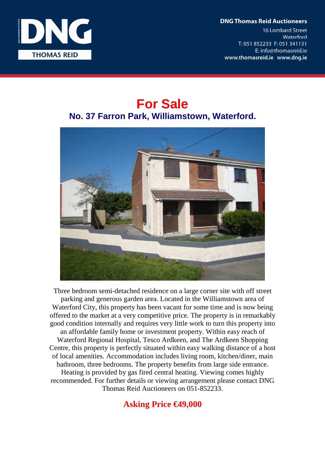**DNG Thomas Reid Auctioneers** 

**16 Lombard Street** Waterford T: 051 852233 F: 051 341131 E: info@thomasreid.ie www.thomasreid.ie www.dng.ie



## **For Sale No. 37 Farron Park, Williamstown, Waterford.**



Three bedroom semi-detached residence on a large corner site with off street parking and generous garden area. Located in the Williamstown area of Waterford City, this property has been vacant for some time and is now being offered to the market at a very competitive price. The property is in remarkably good condition internally and requires very little work to turn this property into an affordable family home or investment property. Within easy reach of Waterford Regional Hospital, Tesco Ardkeen, and The Ardkeen Shopping Centre, this property is perfectly situated within easy walking distance of a host of local amenities. Accommodation includes living room, kitchen/diner, main bathroom, three bedrooms. The property benefits from large side entrance. Heating is provided by gas fired central heating. Viewing comes highly recommended. For further details or viewing arrangement please contact DNG Thomas Reid Auctioneers on 051-852233.

## **Asking Price €49,000**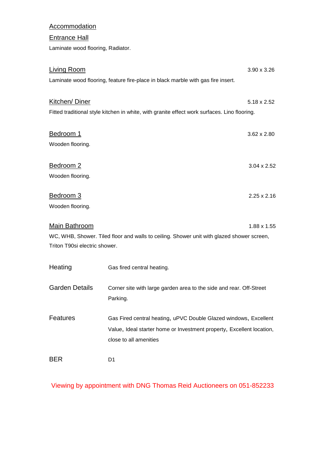| Accommodation                                                                                |                                                                                                 |                    |
|----------------------------------------------------------------------------------------------|-------------------------------------------------------------------------------------------------|--------------------|
| <b>Entrance Hall</b>                                                                         |                                                                                                 |                    |
| Laminate wood flooring, Radiator.                                                            |                                                                                                 |                    |
| <b>Living Room</b>                                                                           |                                                                                                 | $3.90 \times 3.26$ |
|                                                                                              | Laminate wood flooring, feature fire-place in black marble with gas fire insert.                |                    |
| Kitchen/Diner                                                                                |                                                                                                 | $5.18 \times 2.52$ |
| Fitted traditional style kitchen in white, with granite effect work surfaces. Lino flooring. |                                                                                                 |                    |
| Bedroom 1                                                                                    |                                                                                                 | 3.62 x 2.80        |
| Wooden flooring.                                                                             |                                                                                                 |                    |
| Bedroom <sub>2</sub>                                                                         |                                                                                                 | $3.04 \times 2.52$ |
| Wooden flooring.                                                                             |                                                                                                 |                    |
| Bedroom 3                                                                                    |                                                                                                 | $2.25 \times 2.16$ |
| Wooden flooring.                                                                             |                                                                                                 |                    |
| <b>Main Bathroom</b>                                                                         |                                                                                                 | $1.88 \times 1.55$ |
| WC, WHB, Shower. Tiled floor and walls to ceiling. Shower unit with glazed shower screen,    |                                                                                                 |                    |
| Triton T90si electric shower.                                                                |                                                                                                 |                    |
| Heating                                                                                      | Gas fired central heating.                                                                      |                    |
| <b>Garden Details</b>                                                                        | Corner site with large garden area to the side and rear. Off-Street<br>Parking.                 |                    |
| <b>Features</b>                                                                              | Gas Fired central heating, uPVC Double Glazed windows, Excellent                                |                    |
|                                                                                              | Value, Ideal starter home or Investment property, Excellent location,<br>close to all amenities |                    |
| <b>BER</b>                                                                                   | D <sub>1</sub>                                                                                  |                    |

Viewing by appointment with DNG Thomas Reid Auctioneers on 051-852233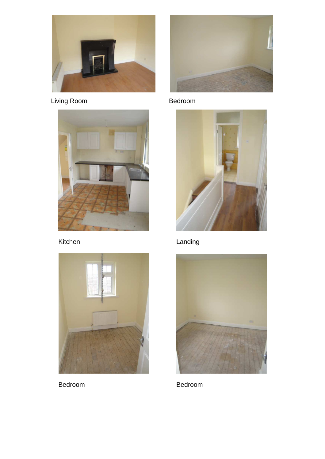

Living Room **Bedroom** 









Kitchen **Landing** 



Bedroom Bedroom